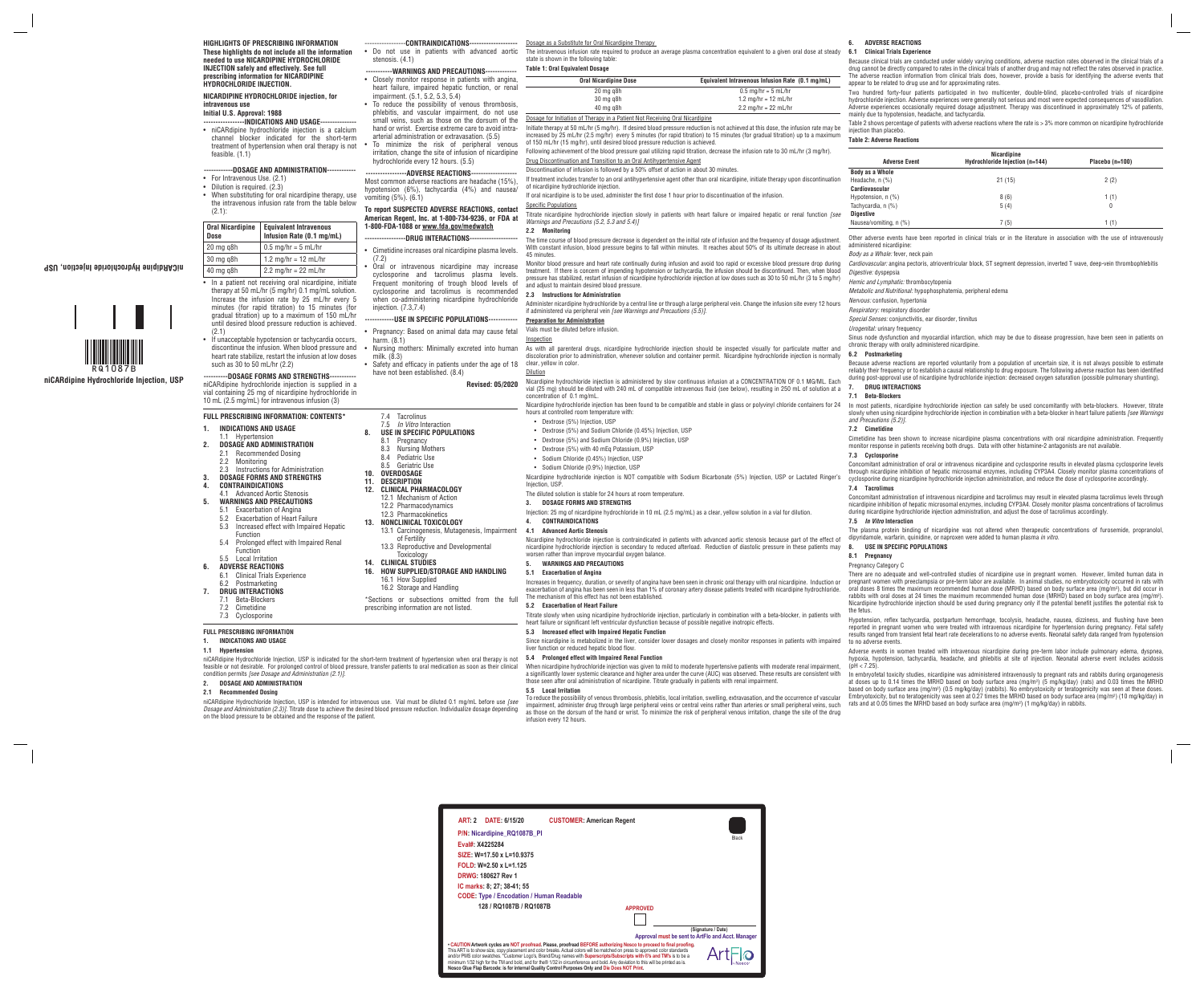# **FULL PRESCRIBING INFORMATION**

The intravenous infusion rate required to produce an average plasma concentration equivalent to a given oral dose at steady  $6.1$ state is shown in the following table:

# **1. INDICATIONS AND USAGE**

## **1.1 Hypertension**

niCARdipine Hydrochloride Injection, USP is indicated for the short-term treatment of hypertension when oral therapy is not feasible or not desirable. For prolonged control of blood pressure, transfer patients to oral medication as soon as their clinical When nicardipine hydrochloride injection was given to mild to moderate hypertensive patient condition permits *[see Dosage and Administration (2.1)]*.

**2. DOSAGE AND ADMINISTRATION**

# **2.1 Recommended Dosing**

niCARdipine Hydrochloride Injection, USP is intended for intravenous use. Vial must be diluted 0.1 mg/mL before use *[see Dosage and Administration (2.3)]*. Titrate dose to achieve the desired blood pressure reduction. Individualize dosage depending on the blood pressure to be obtained and the response of the patient.

Dosage as a Substitute for Oral Nicardipine Therapy

## **Table 1: Oral Equivalent Dosage**

| <b>Oral Nicardipine Dose</b> | Equivalent Intravenous Infusion Rate (0.1 mg/mL) |
|------------------------------|--------------------------------------------------|
| 20 mg g8h                    | $0.5 \text{ mg/hr} = 5 \text{ mL/hr}$            |
| 30 mg g8h                    | 1.2 mg/hr = $12$ mL/hr                           |
| 40 mg g8h                    | 2.2 mg/hr = $22$ mL/hr                           |

Dosage for Initiation of Therapy in a Patient Not Receiving Oral Nicardipine

Initiate therapy at 50 mL/hr (5 mg/hr). If desired blood pressure reduction is not achieved at this dose, the infusion rate may be increased by 25 mL/hr (2.5 mg/hr) every 5 minutes (for rapid titration) to 15 minutes (for gradual titration) up to a maximum of 150 mL/hr (15 mg/hr), until desired blood pressure reduction is achieved.

Following achievement of the blood pressure goal utilizing rapid titration, decrease the infusion rate to 30 mL/hr (3 mg/hr). Drug Discontinuation and Transition to an Oral Antihypertensive Agent

## Discontinuation of infusion is followed by a 50% offset of action in about 30 minutes.

Nicardipine hydrochloride injection is contraindicated in patients with advanced aortic stenosis because part of the effect of nicardipine hydrochloride injection is secondary to reduced afterload. Reduction of diastolic pressure in these patients may worsen rather than improve myocardial oxygen balance.

If treatment includes transfer to an oral antihypertensive agent other than oral nicardipine, initiate therapy upon discontinuation of nicardipine hydrochloride injection.

If oral nicardipine is to be used, administer the first dose 1 hour prior to discontinuation of the infusion.

**Specific Population** 

Titrate nicardipine hydrochloride injection slowly in patients with heart failure or impaired hepatic or renal function *[see Warnings and Precautions (5.2, 5.3 and 5.4)]* 

## **2.2 Monitoring**

#### **2.3 Instructions for Administration**

Administer nicardipine hydrochloride by a central line or through a large peripheral vein. Change the infusion site every 12 hours if administered via peripheral vein *[see Warnings and Precautions (5.5)]*.

## **Preparation for Administration**

Vials must be diluted before infusion.

## **Inspection**

As with all parenteral drugs, nicardipine hydrochloride injection should be inspected visually for particulate matter and discoloration prior to administration, whenever solution and container permit. Nicardipine hydrochloride injection is normally clear, yellow in color.

#### Dilution

- Dextrose (5%) Injection, USP
- Dextrose (5%) and Sodium Chloride (0.45%) Injection, USP
- Dextrose (5%) and Sodium Chloride (0.9%) Injection, USP
- Dextrose (5%) with 40 mFg Potassium, USP
- Sodium Chloride (0.45%) Injection, USP
- 
- Sodium Chloride (0.9%) Injection, USP

Nicardipine hydrochloride injection is NOT compatible with Sodium Bicarbonate (5%) Injection, USP or Lactated Ringer's Injection, USP.

# The diluted solution is stable for 24 hours at room temperature.

## **3. DOSAGE FORMS AND STRENGTHS**

Injection: 25 mg of nicardipine hydrochloride in 10 mL (2.5 mg/mL) as a clear, yellow solution in a vial for dilution.

**4. CONTRAINDICATIONS** 

#### **4.1 Advanced Aortic Stenosis**

# **5. WARNINGS AND PRECAUTIONS**

## **5.1 Exacerbation of Angina**

The time course of blood pressure decrease is dependent on the initial rate of infusion and the frequency of dosage adjustment. With constant infusion, blood pressure begins to fall within minutes. It reaches about 50% of its ultimate decrease in about 45 minutes. Other adverse events have been reported in clinical trials or in the literature in association with the use of intravenously administered nicardinine *Body as a Whole:* fever, neck pain

> Adverse events in women treated with intravenous nicardipine during pre-term labor include pulmonary edema, dyspnea, hypoxia, hypotension, tachycardia, headache, and phlebitis at site of injection. Neonatal adverse event includes acidosis  $(bH < 7.25)$

Monitor blood pressure and heart rate continually during infusion and avoid too rapid or excessive blood pressure drop during treatment. If there is concern of impending hypotension or tachycardia, the infusion should be discontinued. Then, when blood pressure has stabilized, restart infusion of nicardipine hydrochloride injection at low doses such as 30 to 50 mL/hr (3 to 5 mg/hr) and adjust to maintain desired blood pressure. *Cardiovascular:* angina pectoris, atrioventricular block, ST segment depression, inverted T wave, deep-vein thrombophlebitis *Digestive:* dyspepsia *Hemic and Lymphatic:* thrombocytopenia

> In embryofetal toxicity studies, nicardipine was administered intravenously to pregnant rats and rabbits during organogenesis at doses up to 0.14 times the MRHD based on body surface area (mg/m<sup>2</sup>) (5 mg/kg/day) (rats) and 0.03 times the MRHD based on body surface area (mg/m<sup>2</sup>) (0.5 mg/kg/day) (rabbits). No embryotoxicity or teratogenicity was seen at these doses. Embryotoxicity, but no teratogenicity was seen at 0.27 times the MRHD based on body surface area (mg/m<sup>2</sup>) (10 mg/kg/day) in rats and at 0.05 times the MRHD based on body surface area  $\rm (mg/m^2)$  (1 mg/kg/day) in rabbits.

heart failure or significant left ventricular dysfunction because of possible negative inotropic effects.

**5.3 Increased effect with Impaired Hepatic Function**

Since nicardipine is metabolized in the liver, consider lower dosages and closely monitor responses in patients with impaired

liver function or reduced hepatic blood flow. **5.4 Prolonged effect with Impaired Renal Function**

**Initial U.S. Approval: 1988** --INDICATIONS AND USAGE----

a significantly lower systemic clearance and higher area under the curve (AUC) was observed. These results are consistent with

- For Intravenous Use. (2.1)
- Dilution is required. (2.3)
- When substituting for oral nicardipine therapy, use the intravenous infusion rate from the table below (2.1):

those seen after oral administration of nicardipine. Titrate gradually in patients with renal impairment.

**5.5 Local Irritation**

Nicardipine hydrochloride injection is administered by slow continuous infusion at a CONCENTRATION OF 0.1 MG/ML. Each vial (25 mg) should be diluted with 240 mL of compatible intravenous fluid (see below), resulting in 250 mL of solution at a concentration of 0.1 mg/mL. **7. DRUG INTERACTIONS 7.1 Beta-Blockers**

To reduce the possibility of venous thrombosis, phlebitis, local irritation, swelling, extravasation, and the occurrence of vascular impairment, administer drug through large peripheral veins or central veins rather than arteries or small peripheral veins, such as those on the dorsum of the hand or wrist. To minimize the risk of peripheral venous irritation, change the site of the drug

- In a patient not receiving oral nicardipine, initiate therapy at 50 mL/hr (5 mg/hr) 0.1 mg/mL solution. Increase the infusion rate by 25 mL/hr every 5 minutes (for rapid titration) to 15 minutes (for gradual titration) up to a maximum of 150 mL/hr until desired blood pressure reduction is achieved. (2.1)
- If unacceptable hypotension or tachycardia occurs, discontinue the infusion. When blood pressure and heart rate stabilize, restart the infusion at low doses such as 30 to 50 mL/hr (2.2)

Nicardipine hydrochloride injection has been found to be compatible and stable in glass or polyvinyl chloride containers for 24 hours at controlled room temperature with: In most patients, nicardipine hydrochloride injection can safely be used concomitantly with beta-blockers. However, titrate slowly when using nicardipine hydrochloride injection in combination with a beta-blocker in heart failure patients *[see Warnings and Precautions (5.2)]*.

infusion every 12 hours.

# **6. ADVERSE REACTIONS**

## **6.1 Clinical Trials Experience**

Because clinical trials are conducted under widely varying conditions, adverse reaction rates observed in the clinical trials of a drug cannot be directly compared to rates in the clinical trials of another drug and may not reflect the rates observed in practice. The adverse reaction information from clinical trials does, however, provide a basis for identifying the adverse events that appear to be related to drug use and for approximating rates.

Two hundred forty-four patients participated in two multicenter, double-blind, placebo-controlled trials of nicardipine hydrochloride injection. Adverse experiences were generally not serious and most were expected consequences of vasodilation. Adverse experiences occasionally required dosage adjustment. Therapy was discontinued in approximately 12% of patients, mainly due to hypotension, headache, and tachycardia.

Table 2 shows percentage of patients with adverse reactions where the rate is > 3% more common on nicardipine hydrochloride injection than placebo.

## **Table 2: Adverse Reactions**

| <b>Nicardipine</b>     |                                 |                 |  |
|------------------------|---------------------------------|-----------------|--|
| <b>Adverse Event</b>   | Hydrochloride Injection (n=144) | Placebo (n=100) |  |
| Body as a Whole        |                                 |                 |  |
| Headache, $n$ $(\%)$   | 21(15)                          | 2(2)            |  |
| Cardiovascular         |                                 |                 |  |
| Hypotension, $n$ (%)   | 8(6)                            | 1(1)            |  |
| Tachycardia, n (%)     | 5(4)                            | 0               |  |
| <b>Digestive</b>       |                                 |                 |  |
| Nausea/vomiting, n (%) | 7(5)                            | 1(1)            |  |

Increases in frequency, duration, or severity of angina have been seen in chronic oral therapy with oral nicardipine. Induction or exacerbation of angina has been seen in less than 1% of coronary artery disease patients treated with nicardipine hydrochloride. The mechanism of this effect has not been established. **5.2 Exacerbation of Heart Failure** Titrate slowly when using nicardipine hydrochloride injection, particularly in combination with a beta-blocker, in patients with There are no adequate and well-controlled studies of nicardipine use in pregnant women. However, limited human data in pregnant women with preeclampsia or pre-term labor are available. In animal studies, no embryotoxicity occurred in rats with oral doses 8 times the maximum recommended human dose (MRHD) based on body surface area (mg/m<sup>2</sup>), but did occur in rabbits with oral doses at 24 times the maximum recommended human dose (MRHD) based on body surface area (mg/m<sup>2</sup>). Nicardipine hydrochloride injection should be used during pregnancy only if the potential benefit justifies the potential risk to the fetus.

*Metabolic and Nutritional:* hypophosphatemia, peripheral edema

*Nervous:* confusion, hypertonia

*Respiratory:* respiratory disorder

*Special Senses:* conjunctivitis, ear disorder, tinnitus

*Urogenital: urinary frequency* 

Sinus node dysfunction and myocardial infarction, which may be due to disease progression, have been seen in patients on chronic therapy with orally administered nicardipine.

### **6.2 Postmarketing**

Because adverse reactions are reported voluntarily from a population of uncertain size, it is not always possible to estimate reliably their frequency or to establish a causal relationship to drug exposure. The following adverse reaction has been identified during post-approval use of nicardipine hydrochloride injection: decreased oxygen saturation (possible pulmonary shunting).

## **7.2 Cimetidine**

Cimetidine has been shown to increase nicardipine plasma concentrations with oral nicardipine administration. Frequently monitor response in patients receiving both drugs. Data with other histamine-2 antagonists are not available.

#### **7.3 Cyclosporine**

Concomitant administration of oral or intravenous nicardipine and cyclosporine results in elevated plasma cyclosporine levels through nicardipine inhibition of hepatic microsomal enzymes, including CYP3A4. Closely monitor plasma concentrations of cyclosporine during nicardipine hydrochloride injection administration, and reduce the dose of cyclosporine accordingly.

## **7.4 Tacrolimus**

Concomitant administration of intravenous nicardipine and tacrolimus may result in elevated plasma tacrolimus levels through nicardipine inhibition of hepatic microsomal enzymes, including CYP3A4. Closely monitor plasma concentrations of tacrolimus during nicardipine hydrochloride injection administration, and adjust the dose of tacrolimus accordingly.

## **7.5** *In Vitro* **Interaction**

The plasma protein binding of nicardipine was not altered when therapeutic concentrations of furosemide, propranolol, dipyridamole, warfarin, quinidine, or naproxen were added to human plasma *in vitro*.

## **8. USE IN SPECIFIC POPULATIONS**

## **8.1 Pregnancy**

#### Pregnancy Category C

Hypotension, reflex tachycardia, postpartum hemorrhage, tocolysis, headache, nausea, dizziness, and flushing have been reported in pregnant women who were treated with intravenous nicardipine for hypertension during pregnancy. Fetal safety results ranged from transient fetal heart rate decelerations to no adverse events. Neonatal safety data ranged from hypotension to no adverse events.

**HIGHLIGHTS OF PRESCRIBING INFORMATION These highlights do not include all the information needed to use NICARDIPINE HYDROCHLORIDE INJECTION safely and effectively. See full prescribing information for NICARDIPINE HYDROCHLORIDE INJECTION.**

# **NICARDIPINE HYDROCHLORIDE injection, for intravenous use**

• niCARdipine hydrochloride injection is a calcium channel blocker indicated for the short-term feasible. (1.1)

## **------------DOSAGE AND ADMINISTRATION------------**

| <b>Oral Nicardipine</b><br><b>Dose</b> | <b>Equivalent Intravenous</b><br>Infusion Rate (0.1 mg/mL) |
|----------------------------------------|------------------------------------------------------------|
| $20$ mg q $8h$                         | $0.5$ mg/hr = $5$ mL/hr                                    |
| 30 mg g8h                              | 1.2 mg/hr = $12$ mL/hr                                     |
| 40 mg g8h                              | 2.2 mg/hr = $22$ mL/hr                                     |

**----------DOSAGE FORMS AND STRENGTHS----------** niCARdipine hydrochloride injection is supplied in a vial containing 25 mg of nicardipine hydrochloride in 10 mL (2.5 mg/mL) for intravenous infusion (3)

-----------------**CONTRAINDICATIONS--------------------**

• Do not use in patients with advanced aortic stenosis. (4.1)

#### --WARNINGS AND PRECAUTIONS--

- Closely monitor response in patients with angina, heart failure, impaired hepatic function, or renal impairment. (5.1, 5.2, 5.3, 5.4)
- To reduce the possibility of venous thrombosis, phlebitis, and vascular impairment, do not use small veins, such as those on the dorsum of the hand or wrist. Exercise extreme care to avoid intraarterial administration or extravasation. (5.5)
- treatment of hypertension when oral therapy is not To minimize the risk of peripheral venous irritation, change the site of infusion of nicardipine hydrochloride every 12 hours. (5.5)

## ----ADVERSE REACTIONS---

Most common adverse reactions are headache (15%), hypotension (6%), tachycardia (4%) and nausea/ vomiting (5%). (6.1)

## **To report SUSPECTED ADVERSE REACTIONS, contact American Regent, Inc. at 1-800-734-9236, or FDA at 1-800-FDA-1088 or www.fda.gov/medwatch**

#### --DRUG INTERACTIONS--

• Cimetidine increases oral nicardipine plasma levels. (7.2)

• Oral or intravenous nicardipine may increase cyclosporine and tacrolimus plasma levels. Frequent monitoring of trough blood levels of cyclosporine and tacrolimus is recommended when co-administering nicardipine hydrochloride injection. (7.3,7.4)

# **------------USE IN SPECIFIC POPULATIONS------------**

- Pregnancy: Based on animal data may cause fetal harm. (8.1)
- Nursing mothers: Minimally excreted into human milk. (8.3)
- Safety and efficacy in patients under the age of 18 have not been established. (8.4)

**Revised: 05/2020**

# **FULL PRESCRIBING INFORMATION: CONTENTS\***

- **1. INDICATIONS AND USAGE**
- 1.1 Hypertension
- **2. DOSAGE AND ADMINISTRATION** 2.1 Recommended Dosing
	- 2.2 Monitoring
- 2.3 Instructions for Administration **3. DOSAGE FORMS AND STRENGTHS**
- 
- **4. CONTRAINDICATIONS**

# 4.1 Advanced Aortic Stenosis

- **5. WARNINGS AND PRECAUTIONS**
	- 5.1 Exacerbation of Angina
	- 5.2 Exacerbation of Heart Failure 5.3 Increased effect with Impaired Hepatic Function
	- 5.4 Prolonged effect with Impaired Renal Function
	- 5.5 Local Irritation
- **6. ADVERSE REACTIONS**
- 6.1 Clinical Trials Experience
- 6.2 Postmarketing
- 
- **7. DRUG INTERACTIONS** Beta-Blockers
- 7.2 Cimetidine
- 7.3 Cyclosporine

7.4 Tacrolinus 7.5 *In Vitro* Interaction **8. USE IN SPECIFIC POPULATIONS** Pregnancy 8.3 Nursing Mothers 8.4 Pediatric Use 8.5 Geriatric Use **10. OVERDOSAGE 11. DESCRIPTION 12. CLINICAL PHARMACOLOGY** 12.1 Mechanism of Action 12.2 Pharmacodynamics 12.3 Pharmacokinetics **13. NONCLINICAL TOXICOLOGY**

13.1 Carcinogenesis, Mutagenesis, Impairment

of Fertility

13.3 Reproductive and Developmental

Toxicology **14. CLINICAL STUDIES**

**16. HOW SUPPLIED/STORAGE AND HANDLING**

16.1 How Supplied 16.2 Storage and Handling

\*Sections or subsections omitted from the full

prescribing information are not listed.

RQ1087B **niCARdipine Hydrochloride Injection, USP**

**niCARdipine Hydrochloride Injection, USP**